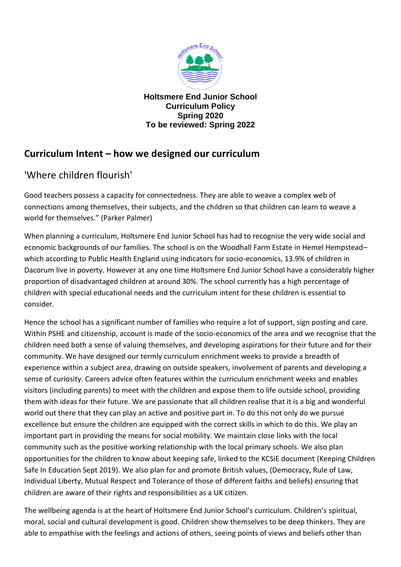

**Holtsmere End Junior School Curriculum Policy Spring 2020 To be reviewed: Spring 2022**

# **Curriculum Intent – how we designed our curriculum**

# 'Where children flourish'

Good teachers possess a capacity for connectedness. They are able to weave a complex web of connections among themselves, their subjects, and the children so that children can learn to weave a world for themselves." (Parker Palmer)

When planning a curriculum, Holtsmere End Junior School has had to recognise the very wide social and economic backgrounds of our families. The school is on the Woodhall Farm Estate in Hemel Hempstead– which according to Public Health England using indicators for socio-economics, 13.9% of children in Dacorum live in poverty. However at any one time Holtsmere End Junior School have a considerably higher proportion of disadvantaged children at around 30%. The school currently has a high percentage of children with special educational needs and the curriculum intent for these children is essential to consider.

Hence the school has a significant number of families who require a lot of support, sign posting and care. Within PSHE and citizenship, account is made of the socio-economics of the area and we recognise that the children need both a sense of valuing themselves, and developing aspirations for their future and for their community. We have designed our termly curriculum enrichment weeks to provide a breadth of experience within a subject area, drawing on outside speakers, involvement of parents and developing a sense of curiosity. Careers advice often features within the curriculum enrichment weeks and enables visitors (including parents) to meet with the children and expose them to life outside school, providing them with ideas for their future. We are passionate that all children realise that it is a big and wonderful world out there that they can play an active and positive part in. To do this not only do we pursue excellence but ensure the children are equipped with the correct skills in which to do this. We play an important part in providing the means for social mobility. We maintain close links with the local community such as the positive working relationship with the local primary schools. We also plan opportunities for the children to know about keeping safe, linked to the KCSiE document (Keeping Children Safe In Education Sept 2019). We also plan for and promote British values, (Democracy, Rule of Law, Individual Liberty, Mutual Respect and Tolerance of those of different faiths and beliefs) ensuring that children are aware of their rights and responsibilities as a UK citizen.

The wellbeing agenda is at the heart of Holtsmere End Junior School's curriculum. Children's spiritual, moral, social and cultural development is good. Children show themselves to be deep thinkers. They are able to empathise with the feelings and actions of others, seeing points of views and beliefs other than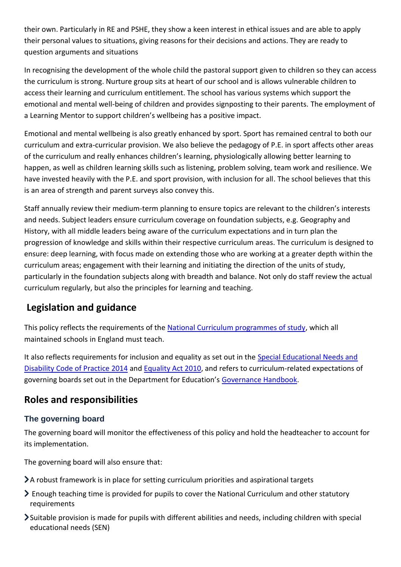their own. Particularly in RE and PSHE, they show a keen interest in ethical issues and are able to apply their personal values to situations, giving reasons for their decisions and actions. They are ready to question arguments and situations

In recognising the development of the whole child the pastoral support given to children so they can access the curriculum is strong. Nurture group sits at heart of our school and is allows vulnerable children to access their learning and curriculum entitlement. The school has various systems which support the emotional and mental well-being of children and provides signposting to their parents. The employment of a Learning Mentor to support children's wellbeing has a positive impact.

Emotional and mental wellbeing is also greatly enhanced by sport. Sport has remained central to both our curriculum and extra-curricular provision. We also believe the pedagogy of P.E. in sport affects other areas of the curriculum and really enhances children's learning, physiologically allowing better learning to happen, as well as children learning skills such as listening, problem solving, team work and resilience. We have invested heavily with the P.E. and sport provision, with inclusion for all. The school believes that this is an area of strength and parent surveys also convey this.

Staff annually review their medium-term planning to ensure topics are relevant to the children's interests and needs. Subject leaders ensure curriculum coverage on foundation subjects, e.g. Geography and History, with all middle leaders being aware of the curriculum expectations and in turn plan the progression of knowledge and skills within their respective curriculum areas. The curriculum is designed to ensure: deep learning, with focus made on extending those who are working at a greater depth within the curriculum areas; engagement with their learning and initiating the direction of the units of study, particularly in the foundation subjects along with breadth and balance. Not only do staff review the actual curriculum regularly, but also the principles for learning and teaching.

# **Legislation and guidance**

This policy reflects the requirements of the [National Curriculum programmes of study,](https://www.gov.uk/government/collections/national-curriculum) which all maintained schools in England must teach.

It also reflects requirements for inclusion and equality as set out in the [Special Educational Needs and](https://www.gov.uk/government/publications/send-code-of-practice-0-to-25)  [Disability Code of Practice 2014](https://www.gov.uk/government/publications/send-code-of-practice-0-to-25) an[d Equality Act 2010,](http://www.legislation.gov.uk/ukpga/2010/15/part/6/chapter/1) and refers to curriculum-related expectations of governing boards set out in the Department for Education's [Governance Handbook.](https://www.gov.uk/government/publications/governance-handbook)

## **Roles and responsibilities**

## **The governing board**

The governing board will monitor the effectiveness of this policy and hold the headteacher to account for its implementation.

The governing board will also ensure that:

- A robust framework is in place for setting curriculum priorities and aspirational targets
- Enough teaching time is provided for pupils to cover the National Curriculum and other statutory requirements
- Suitable provision is made for pupils with different abilities and needs, including children with special educational needs (SEN)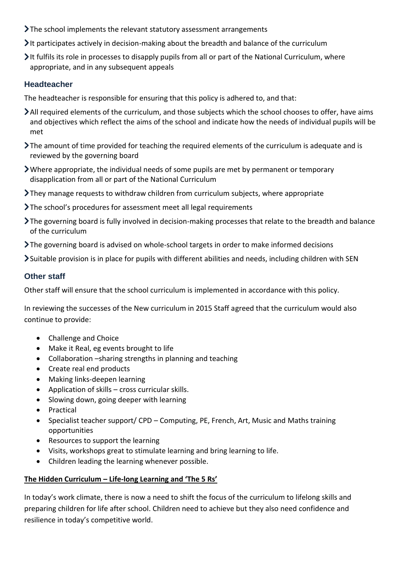- The school implements the relevant statutory assessment arrangements
- It participates actively in decision-making about the breadth and balance of the curriculum
- It fulfils its role in processes to disapply pupils from all or part of the National Curriculum, where appropriate, and in any subsequent appeals

#### **Headteacher**

The headteacher is responsible for ensuring that this policy is adhered to, and that:

- All required elements of the curriculum, and those subjects which the school chooses to offer, have aims and objectives which reflect the aims of the school and indicate how the needs of individual pupils will be met
- The amount of time provided for teaching the required elements of the curriculum is adequate and is reviewed by the governing board
- Where appropriate, the individual needs of some pupils are met by permanent or temporary disapplication from all or part of the National Curriculum
- They manage requests to withdraw children from curriculum subjects, where appropriate
- The school's procedures for assessment meet all legal requirements
- The governing board is fully involved in decision-making processes that relate to the breadth and balance of the curriculum
- The governing board is advised on whole-school targets in order to make informed decisions

Suitable provision is in place for pupils with different abilities and needs, including children with SEN

## **Other staff**

Other staff will ensure that the school curriculum is implemented in accordance with this policy.

In reviewing the successes of the New curriculum in 2015 Staff agreed that the curriculum would also continue to provide:

- Challenge and Choice
- Make it Real, eg events brought to life
- Collaboration –sharing strengths in planning and teaching
- Create real end products
- Making links-deepen learning
- Application of skills cross curricular skills.
- Slowing down, going deeper with learning
- Practical
- Specialist teacher support/ CPD Computing, PE, French, Art, Music and Maths training opportunities
- Resources to support the learning
- Visits, workshops great to stimulate learning and bring learning to life.
- Children leading the learning whenever possible.

#### **The Hidden Curriculum – Life-long Learning and 'The 5 Rs'**

In today's work climate, there is now a need to shift the focus of the curriculum to lifelong skills and preparing children for life after school. Children need to achieve but they also need confidence and resilience in today's competitive world.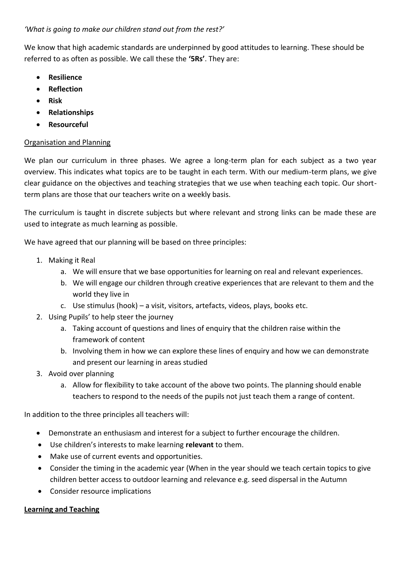*'What is going to make our children stand out from the rest?'*

We know that high academic standards are underpinned by good attitudes to learning. These should be referred to as often as possible. We call these the **'5Rs'**. They are:

- **Resilience**
- **Reflection**
- **Risk**
- **Relationships**
- **Resourceful**

## Organisation and Planning

We plan our curriculum in three phases. We agree a long-term plan for each subject as a two year overview. This indicates what topics are to be taught in each term. With our medium-term plans, we give clear guidance on the objectives and teaching strategies that we use when teaching each topic. Our shortterm plans are those that our teachers write on a weekly basis.

The curriculum is taught in discrete subjects but where relevant and strong links can be made these are used to integrate as much learning as possible.

We have agreed that our planning will be based on three principles:

- 1. Making it Real
	- a. We will ensure that we base opportunities for learning on real and relevant experiences.
	- b. We will engage our children through creative experiences that are relevant to them and the world they live in
	- c. Use stimulus (hook) a visit, visitors, artefacts, videos, plays, books etc.
- 2. Using Pupils' to help steer the journey
	- a. Taking account of questions and lines of enquiry that the children raise within the framework of content
	- b. Involving them in how we can explore these lines of enquiry and how we can demonstrate and present our learning in areas studied
- 3. Avoid over planning
	- a. Allow for flexibility to take account of the above two points. The planning should enable teachers to respond to the needs of the pupils not just teach them a range of content.

In addition to the three principles all teachers will:

- Demonstrate an enthusiasm and interest for a subject to further encourage the children.
- Use children's interests to make learning **relevant** to them.
- Make use of current events and opportunities.
- Consider the timing in the academic year (When in the year should we teach certain topics to give children better access to outdoor learning and relevance e.g. seed dispersal in the Autumn
- Consider resource implications

## **Learning and Teaching**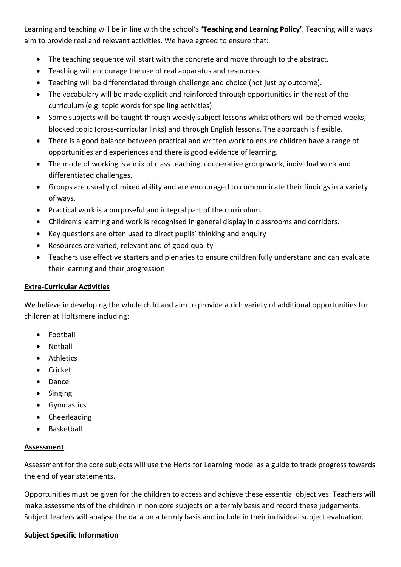Learning and teaching will be in line with the school's **'Teaching and Learning Policy'**. Teaching will always aim to provide real and relevant activities. We have agreed to ensure that:

- The teaching sequence will start with the concrete and move through to the abstract.
- Teaching will encourage the use of real apparatus and resources.
- Teaching will be differentiated through challenge and choice (not just by outcome).
- The vocabulary will be made explicit and reinforced through opportunities in the rest of the curriculum (e.g. topic words for spelling activities)
- Some subjects will be taught through weekly subject lessons whilst others will be themed weeks, blocked topic (cross-curricular links) and through English lessons. The approach is flexible.
- There is a good balance between practical and written work to ensure children have a range of opportunities and experiences and there is good evidence of learning.
- The mode of working is a mix of class teaching, cooperative group work, individual work and differentiated challenges.
- Groups are usually of mixed ability and are encouraged to communicate their findings in a variety of ways.
- Practical work is a purposeful and integral part of the curriculum.
- Children's learning and work is recognised in general display in classrooms and corridors.
- Key questions are often used to direct pupils' thinking and enquiry
- Resources are varied, relevant and of good quality
- Teachers use effective starters and plenaries to ensure children fully understand and can evaluate their learning and their progression

#### **Extra-Curricular Activities**

We believe in developing the whole child and aim to provide a rich variety of additional opportunities for children at Holtsmere including:

- Football
- Netball
- **•** Athletics
- Cricket
- Dance
- Singing
- **•** Gymnastics
- Cheerleading
- Basketball

#### **Assessment**

Assessment for the core subjects will use the Herts for Learning model as a guide to track progress towards the end of year statements.

Opportunities must be given for the children to access and achieve these essential objectives. Teachers will make assessments of the children in non core subjects on a termly basis and record these judgements. Subject leaders will analyse the data on a termly basis and include in their individual subject evaluation.

#### **Subject Specific Information**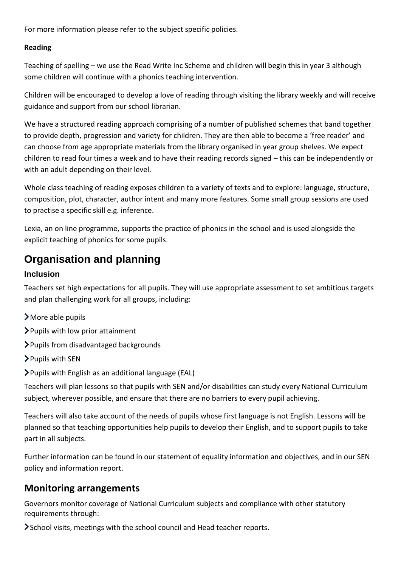For more information please refer to the subject specific policies.

## **Reading**

Teaching of spelling – we use the Read Write Inc Scheme and children will begin this in year 3 although some children will continue with a phonics teaching intervention.

Children will be encouraged to develop a love of reading through visiting the library weekly and will receive guidance and support from our school librarian.

We have a structured reading approach comprising of a number of published schemes that band together to provide depth, progression and variety for children. They are then able to become a 'free reader' and can choose from age appropriate materials from the library organised in year group shelves. We expect children to read four times a week and to have their reading records signed – this can be independently or with an adult depending on their level.

Whole class teaching of reading exposes children to a variety of texts and to explore: language, structure, composition, plot, character, author intent and many more features. Some small group sessions are used to practise a specific skill e.g. inference.

Lexia, an on line programme, supports the practice of phonics in the school and is used alongside the explicit teaching of phonics for some pupils.

# **Organisation and planning**

## **Inclusion**

Teachers set high expectations for all pupils. They will use appropriate assessment to set ambitious targets and plan challenging work for all groups, including:

- More able pupils
- Pupils with low prior attainment
- Pupils from disadvantaged backgrounds
- Pupils with SEN
- Pupils with English as an additional language (EAL)

Teachers will plan lessons so that pupils with SEN and/or disabilities can study every National Curriculum subject, wherever possible, and ensure that there are no barriers to every pupil achieving.

Teachers will also take account of the needs of pupils whose first language is not English. Lessons will be planned so that teaching opportunities help pupils to develop their English, and to support pupils to take part in all subjects.

Further information can be found in our statement of equality information and objectives, and in our SEN policy and information report.

## **Monitoring arrangements**

Governors monitor coverage of National Curriculum subjects and compliance with other statutory requirements through:

School visits, meetings with the school council and Head teacher reports.